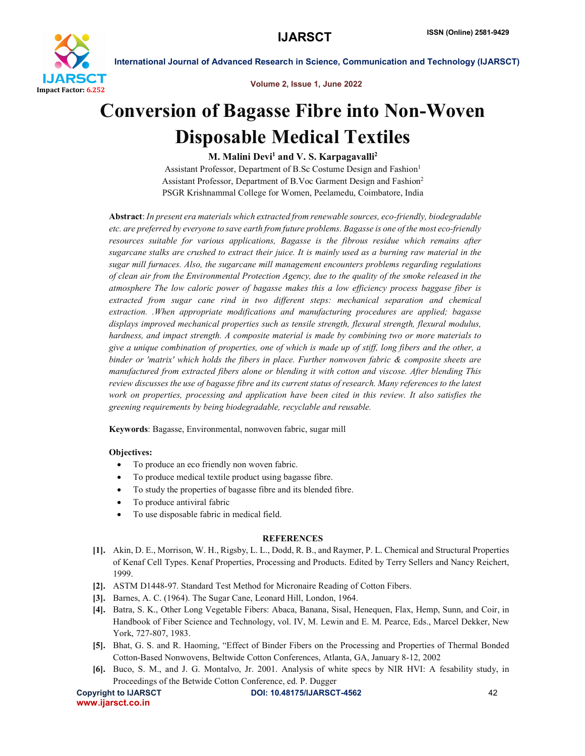

International Journal of Advanced Research in Science, Communication and Technology (IJARSCT)

Volume 2, Issue 1, June 2022

# Conversion of Bagasse Fibre into Non-Woven Disposable Medical Textiles

## M. Malini Devi<sup>1</sup> and V. S. Karpagavalli<sup>2</sup>

Assistant Professor, Department of B.Sc Costume Design and Fashion<sup>1</sup> Assistant Professor, Department of B.Voc Garment Design and Fashion2 PSGR Krishnammal College for Women, Peelamedu, Coimbatore, India

Abstract: *In present era materials which extracted from renewable sources, eco-friendly, biodegradable etc. are preferred by everyone to save earth from future problems. Bagasse is one of the most eco-friendly resources suitable for various applications, Bagasse is the fibrous residue which remains after sugarcane stalks are crushed to extract their juice. It is mainly used as a burning raw material in the sugar mill furnaces. Also, the sugarcane mill management encounters problems regarding regulations of clean air from the Environmental Protection Agency, due to the quality of the smoke released in the atmosphere The low caloric power of bagasse makes this a low efficiency process baggase fiber is extracted from sugar cane rind in two different steps: mechanical separation and chemical extraction. .When appropriate modifications and manufacturing procedures are applied; bagasse displays improved mechanical properties such as tensile strength, flexural strength, flexural modulus, hardness, and impact strength. A composite material is made by combining two or more materials to give a unique combination of properties, one of which is made up of stiff, long fibers and the other, a binder or 'matrix' which holds the fibers in place. Further nonwoven fabric & composite sheets are manufactured from extracted fibers alone or blending it with cotton and viscose. After blending This review discusses the use of bagasse fibre and its current status of research. Many references to the latest work on properties, processing and application have been cited in this review. It also satisfies the greening requirements by being biodegradable, recyclable and reusable.*

Keywords: Bagasse, Environmental, nonwoven fabric, sugar mill

### Objectives:

- To produce an eco friendly non woven fabric.
- To produce medical textile product using bagasse fibre.
- To study the properties of bagasse fibre and its blended fibre.
- To produce antiviral fabric
- To use disposable fabric in medical field.

### REFERENCES

- [1]. Akin, D. E., Morrison, W. H., Rigsby, L. L., Dodd, R. B., and Raymer, P. L. Chemical and Structural Properties of Kenaf Cell Types. Kenaf Properties, Processing and Products. Edited by Terry Sellers and Nancy Reichert, 1999.
- [2]. ASTM D1448-97. Standard Test Method for Micronaire Reading of Cotton Fibers.
- [3]. Barnes, A. C. (1964). The Sugar Cane, Leonard Hill, London, 1964.
- [4]. Batra, S. K., Other Long Vegetable Fibers: Abaca, Banana, Sisal, Henequen, Flax, Hemp, Sunn, and Coir, in Handbook of Fiber Science and Technology, vol. IV, M. Lewin and E. M. Pearce, Eds., Marcel Dekker, New York, 727-807, 1983.
- [5]. Bhat, G. S. and R. Haoming, "Effect of Binder Fibers on the Processing and Properties of Thermal Bonded Cotton-Based Nonwovens, Beltwide Cotton Conferences, Atlanta, GA, January 8-12, 2002
- [6]. Buco, S. M., and J. G. Montalvo, Jr. 2001. Analysis of white specs by NIR HVI: A fesability study, in Proceedings of the Betwide Cotton Conference, ed. P. Dugger

www.ijarsct.co.in